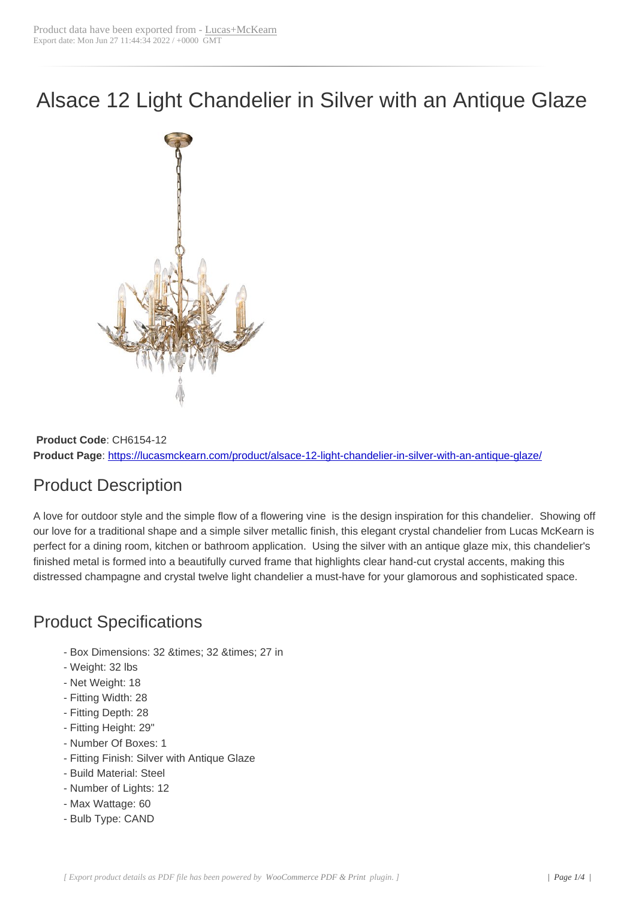## Alsace 12 Light Chandelier in Silver with an Antique Glaze



**Product Code**: CH6154-12 **Product Page**: https://lucasmckearn.com/product/alsace-12-light-chandelier-in-silver-with-an-antique-glaze/

## Product Description

A love for outd[oor style and the simple flow of a flowering vine is the design inspiration for this chandelier. S](https://lucasmckearn.com/product/alsace-12-light-chandelier-in-silver-with-an-antique-glaze/)howing off our love for a traditional shape and a simple silver metallic finish, this elegant crystal chandelier from Lucas McKearn is perfect for a dining room, kitchen or bathroom application. Using the silver with an antique glaze mix, this chandelier's finished metal is formed into a beautifully curved frame that highlights clear hand-cut crystal accents, making this distressed champagne and crystal twelve light chandelier a must-have for your glamorous and sophisticated space.

## Product Specifications

- Box Dimensions: 32 × 32 × 27 in
- Weight: 32 lbs
- Net Weight: 18
- Fitting Width: 28
- Fitting Depth: 28
- Fitting Height: 29"
- Number Of Boxes: 1
- Fitting Finish: Silver with Antique Glaze
- Build Material: Steel
- Number of Lights: 12
- Max Wattage: 60
- Bulb Type: CAND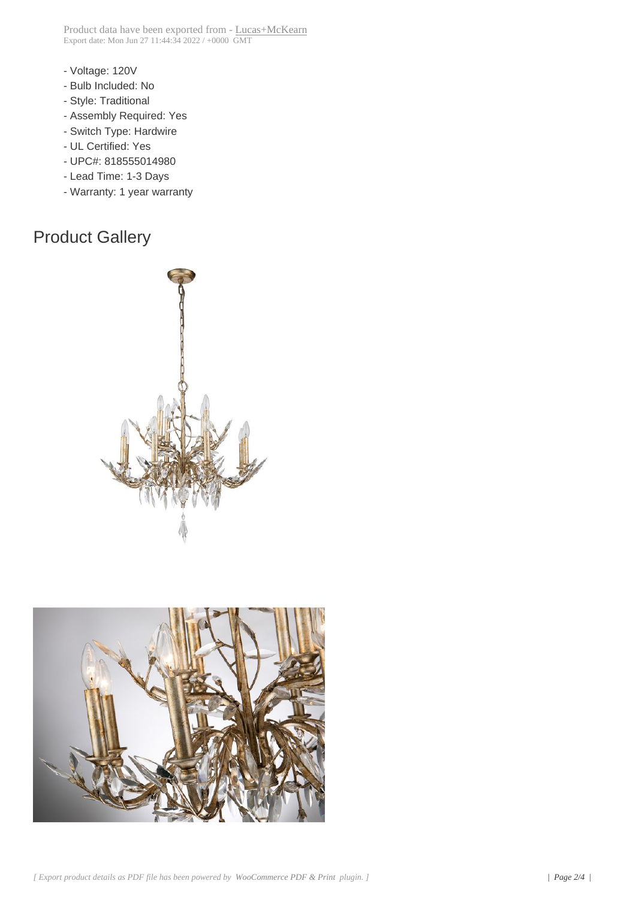- Voltage: 120V
- Bulb Included: No
- Style: Traditional
- Assembly Required: Yes
- Switch Type: Hardwire
- UL Certified: Yes
- UPC#: 818555014980
- Lead Time: 1-3 Days
- Warranty: 1 year warranty

## Product Gallery



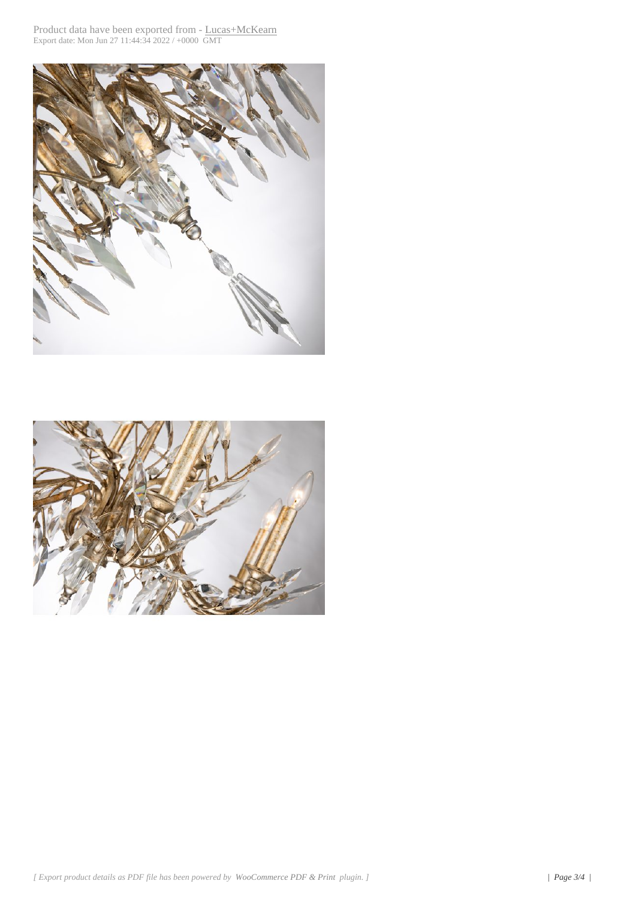